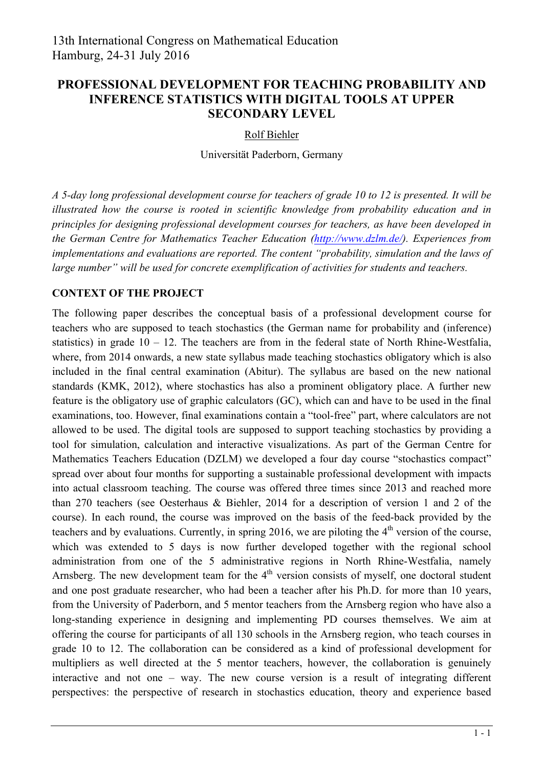# **PROFESSIONAL DEVELOPMENT FOR TEACHING PROBABILITY AND INFERENCE STATISTICS WITH DIGITAL TOOLS AT UPPER SECONDARY LEVEL**

Rolf Biehler

Universität Paderborn, Germany

*A 5-day long professional development course for teachers of grade 10 to 12 is presented. It will be illustrated how the course is rooted in scientific knowledge from probability education and in principles for designing professional development courses for teachers, as have been developed in the German Centre for Mathematics Teacher Education (http://www.dzlm.de/). Experiences from implementations and evaluations are reported. The content "probability, simulation and the laws of large number" will be used for concrete exemplification of activities for students and teachers.*

## **CONTEXT OF THE PROJECT**

The following paper describes the conceptual basis of a professional development course for teachers who are supposed to teach stochastics (the German name for probability and (inference) statistics) in grade  $10 - 12$ . The teachers are from in the federal state of North Rhine-Westfalia, where, from 2014 onwards, a new state syllabus made teaching stochastics obligatory which is also included in the final central examination (Abitur). The syllabus are based on the new national standards (KMK, 2012), where stochastics has also a prominent obligatory place. A further new feature is the obligatory use of graphic calculators (GC), which can and have to be used in the final examinations, too. However, final examinations contain a "tool-free" part, where calculators are not allowed to be used. The digital tools are supposed to support teaching stochastics by providing a tool for simulation, calculation and interactive visualizations. As part of the German Centre for Mathematics Teachers Education (DZLM) we developed a four day course "stochastics compact" spread over about four months for supporting a sustainable professional development with impacts into actual classroom teaching. The course was offered three times since 2013 and reached more than 270 teachers (see Oesterhaus & Biehler, 2014 for a description of version 1 and 2 of the course). In each round, the course was improved on the basis of the feed-back provided by the teachers and by evaluations. Currently, in spring 2016, we are piloting the  $4<sup>th</sup>$  version of the course, which was extended to 5 days is now further developed together with the regional school administration from one of the 5 administrative regions in North Rhine-Westfalia, namely Arnsberg. The new development team for the  $4<sup>th</sup>$  version consists of myself, one doctoral student and one post graduate researcher, who had been a teacher after his Ph.D. for more than 10 years, from the University of Paderborn, and 5 mentor teachers from the Arnsberg region who have also a long-standing experience in designing and implementing PD courses themselves. We aim at offering the course for participants of all 130 schools in the Arnsberg region, who teach courses in grade 10 to 12. The collaboration can be considered as a kind of professional development for multipliers as well directed at the 5 mentor teachers, however, the collaboration is genuinely interactive and not one – way. The new course version is a result of integrating different perspectives: the perspective of research in stochastics education, theory and experience based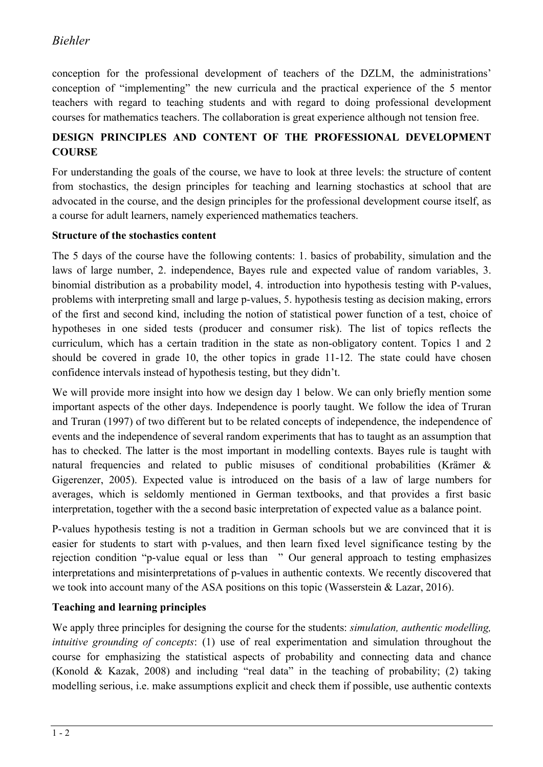conception for the professional development of teachers of the DZLM, the administrations' conception of "implementing" the new curricula and the practical experience of the 5 mentor teachers with regard to teaching students and with regard to doing professional development courses for mathematics teachers. The collaboration is great experience although not tension free.

# **DESIGN PRINCIPLES AND CONTENT OF THE PROFESSIONAL DEVELOPMENT COURSE**

For understanding the goals of the course, we have to look at three levels: the structure of content from stochastics, the design principles for teaching and learning stochastics at school that are advocated in the course, and the design principles for the professional development course itself, as a course for adult learners, namely experienced mathematics teachers.

#### **Structure of the stochastics content**

The 5 days of the course have the following contents: 1. basics of probability, simulation and the laws of large number, 2. independence, Bayes rule and expected value of random variables, 3. binomial distribution as a probability model, 4. introduction into hypothesis testing with P-values, problems with interpreting small and large p-values, 5. hypothesis testing as decision making, errors of the first and second kind, including the notion of statistical power function of a test, choice of hypotheses in one sided tests (producer and consumer risk). The list of topics reflects the curriculum, which has a certain tradition in the state as non-obligatory content. Topics 1 and 2 should be covered in grade 10, the other topics in grade 11-12. The state could have chosen confidence intervals instead of hypothesis testing, but they didn't.

We will provide more insight into how we design day 1 below. We can only briefly mention some important aspects of the other days. Independence is poorly taught. We follow the idea of Truran and Truran (1997) of two different but to be related concepts of independence, the independence of events and the independence of several random experiments that has to taught as an assumption that has to checked. The latter is the most important in modelling contexts. Bayes rule is taught with natural frequencies and related to public misuses of conditional probabilities (Krämer & Gigerenzer, 2005). Expected value is introduced on the basis of a law of large numbers for averages, which is seldomly mentioned in German textbooks, and that provides a first basic interpretation, together with the a second basic interpretation of expected value as a balance point.

P-values hypothesis testing is not a tradition in German schools but we are convinced that it is easier for students to start with p-values, and then learn fixed level significance testing by the rejection condition "p-value equal or less than "Our general approach to testing emphasizes interpretations and misinterpretations of p-values in authentic contexts. We recently discovered that we took into account many of the ASA positions on this topic (Wasserstein & Lazar, 2016).

## **Teaching and learning principles**

We apply three principles for designing the course for the students: *simulation, authentic modelling, intuitive grounding of concepts*: (1) use of real experimentation and simulation throughout the course for emphasizing the statistical aspects of probability and connecting data and chance (Konold & Kazak, 2008) and including "real data" in the teaching of probability; (2) taking modelling serious, i.e. make assumptions explicit and check them if possible, use authentic contexts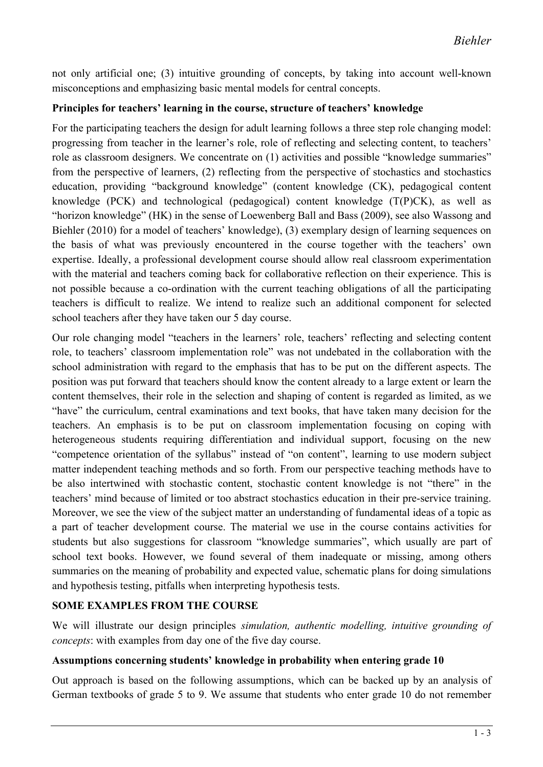not only artificial one; (3) intuitive grounding of concepts, by taking into account well-known misconceptions and emphasizing basic mental models for central concepts.

#### **Principles for teachers' learning in the course, structure of teachers' knowledge**

For the participating teachers the design for adult learning follows a three step role changing model: progressing from teacher in the learner's role, role of reflecting and selecting content, to teachers' role as classroom designers. We concentrate on (1) activities and possible "knowledge summaries" from the perspective of learners, (2) reflecting from the perspective of stochastics and stochastics education, providing "background knowledge" (content knowledge (CK), pedagogical content knowledge (PCK) and technological (pedagogical) content knowledge (T(P)CK), as well as "horizon knowledge" (HK) in the sense of Loewenberg Ball and Bass (2009), see also Wassong and Biehler (2010) for a model of teachers' knowledge), (3) exemplary design of learning sequences on the basis of what was previously encountered in the course together with the teachers' own expertise. Ideally, a professional development course should allow real classroom experimentation with the material and teachers coming back for collaborative reflection on their experience. This is not possible because a co-ordination with the current teaching obligations of all the participating teachers is difficult to realize. We intend to realize such an additional component for selected school teachers after they have taken our 5 day course.

Our role changing model "teachers in the learners' role, teachers' reflecting and selecting content role, to teachers' classroom implementation role" was not undebated in the collaboration with the school administration with regard to the emphasis that has to be put on the different aspects. The position was put forward that teachers should know the content already to a large extent or learn the content themselves, their role in the selection and shaping of content is regarded as limited, as we "have" the curriculum, central examinations and text books, that have taken many decision for the teachers. An emphasis is to be put on classroom implementation focusing on coping with heterogeneous students requiring differentiation and individual support, focusing on the new "competence orientation of the syllabus" instead of "on content", learning to use modern subject matter independent teaching methods and so forth. From our perspective teaching methods have to be also intertwined with stochastic content, stochastic content knowledge is not "there" in the teachers' mind because of limited or too abstract stochastics education in their pre-service training. Moreover, we see the view of the subject matter an understanding of fundamental ideas of a topic as a part of teacher development course. The material we use in the course contains activities for students but also suggestions for classroom "knowledge summaries", which usually are part of school text books. However, we found several of them inadequate or missing, among others summaries on the meaning of probability and expected value, schematic plans for doing simulations and hypothesis testing, pitfalls when interpreting hypothesis tests.

## **SOME EXAMPLES FROM THE COURSE**

We will illustrate our design principles *simulation, authentic modelling, intuitive grounding of concepts*: with examples from day one of the five day course.

## **Assumptions concerning students' knowledge in probability when entering grade 10**

Out approach is based on the following assumptions, which can be backed up by an analysis of German textbooks of grade 5 to 9. We assume that students who enter grade 10 do not remember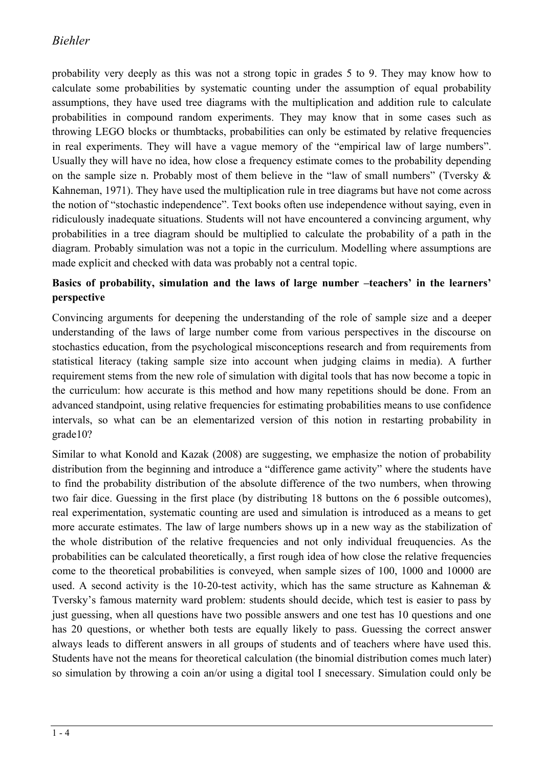# *Biehler*

probability very deeply as this was not a strong topic in grades 5 to 9. They may know how to calculate some probabilities by systematic counting under the assumption of equal probability assumptions, they have used tree diagrams with the multiplication and addition rule to calculate probabilities in compound random experiments. They may know that in some cases such as throwing LEGO blocks or thumbtacks, probabilities can only be estimated by relative frequencies in real experiments. They will have a vague memory of the "empirical law of large numbers". Usually they will have no idea, how close a frequency estimate comes to the probability depending on the sample size n. Probably most of them believe in the "law of small numbers" (Tversky  $\&$ Kahneman, 1971). They have used the multiplication rule in tree diagrams but have not come across the notion of "stochastic independence". Text books often use independence without saying, even in ridiculously inadequate situations. Students will not have encountered a convincing argument, why probabilities in a tree diagram should be multiplied to calculate the probability of a path in the diagram. Probably simulation was not a topic in the curriculum. Modelling where assumptions are made explicit and checked with data was probably not a central topic.

## **Basics of probability, simulation and the laws of large number –teachers' in the learners' perspective**

Convincing arguments for deepening the understanding of the role of sample size and a deeper understanding of the laws of large number come from various perspectives in the discourse on stochastics education, from the psychological misconceptions research and from requirements from statistical literacy (taking sample size into account when judging claims in media). A further requirement stems from the new role of simulation with digital tools that has now become a topic in the curriculum: how accurate is this method and how many repetitions should be done. From an advanced standpoint, using relative frequencies for estimating probabilities means to use confidence intervals, so what can be an elementarized version of this notion in restarting probability in grade10?

Similar to what Konold and Kazak (2008) are suggesting, we emphasize the notion of probability distribution from the beginning and introduce a "difference game activity" where the students have to find the probability distribution of the absolute difference of the two numbers, when throwing two fair dice. Guessing in the first place (by distributing 18 buttons on the 6 possible outcomes), real experimentation, systematic counting are used and simulation is introduced as a means to get more accurate estimates. The law of large numbers shows up in a new way as the stabilization of the whole distribution of the relative frequencies and not only individual freuquencies. As the probabilities can be calculated theoretically, a first rough idea of how close the relative frequencies come to the theoretical probabilities is conveyed, when sample sizes of 100, 1000 and 10000 are used. A second activity is the 10-20-test activity, which has the same structure as Kahneman  $\&$ Tversky's famous maternity ward problem: students should decide, which test is easier to pass by just guessing, when all questions have two possible answers and one test has 10 questions and one has 20 questions, or whether both tests are equally likely to pass. Guessing the correct answer always leads to different answers in all groups of students and of teachers where have used this. Students have not the means for theoretical calculation (the binomial distribution comes much later) so simulation by throwing a coin an/or using a digital tool I snecessary. Simulation could only be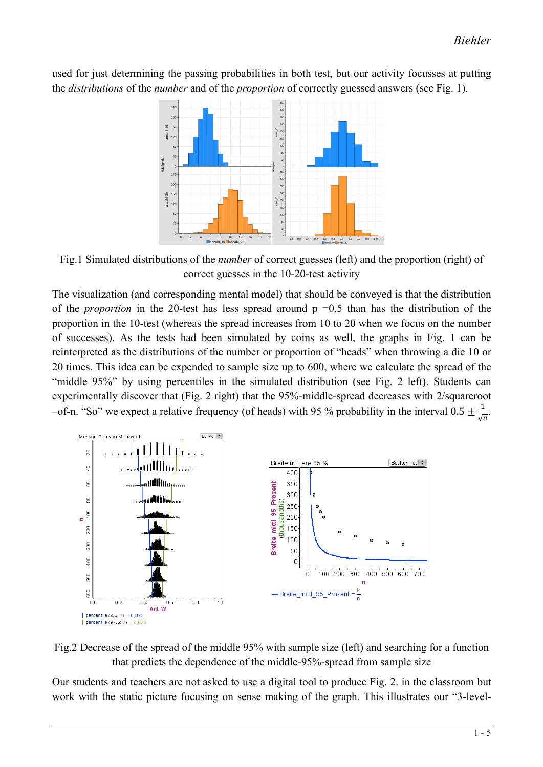used for just determining the passing probabilities in both test, but our activity focusses at putting the *distributions* of the *number* and of the *proportion* of correctly guessed answers (see Fig. 1).



Fig.1 Simulated distributions of the *number* of correct guesses (left) and the proportion (right) of correct guesses in the 10-20-test activity

The visualization (and corresponding mental model) that should be conveyed is that the distribution of the *proportion* in the 20-test has less spread around  $p = 0.5$  than has the distribution of the proportion in the 10-test (whereas the spread increases from 10 to 20 when we focus on the number of successes). As the tests had been simulated by coins as well, the graphs in Fig. 1 can be reinterpreted as the distributions of the number or proportion of "heads" when throwing a die 10 or 20 times. This idea can be expended to sample size up to 600, where we calculate the spread of the "middle 95%" by using percentiles in the simulated distribution (see Fig. 2 left). Students can experimentally discover that (Fig. 2 right) that the 95%-middle-spread decreases with 2/squareroot -of-n. "So" we expect a relative frequency (of heads) with 95 % probability in the interval  $0.5 \pm \frac{1}{\sqrt{n}}$ .



Fig.2 Decrease of the spread of the middle 95% with sample size (left) and searching for a function that predicts the dependence of the middle-95%-spread from sample size

Our students and teachers are not asked to use a digital tool to produce Fig. 2. in the classroom but work with the static picture focusing on sense making of the graph. This illustrates our "3-level-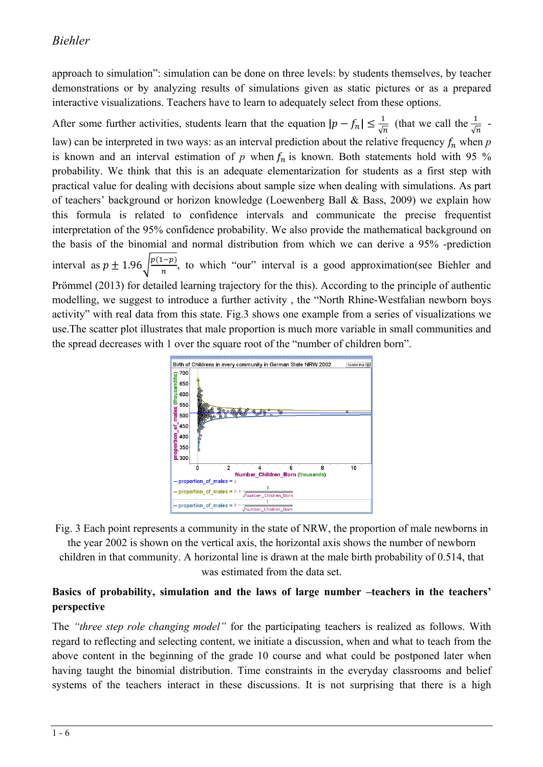approach to simulation": simulation can be done on three levels: by students themselves, by teacher demonstrations or by analyzing results of simulations given as static pictures or as a prepared interactive visualizations. Teachers have to learn to adequately select from these options.

After some further activities, students learn that the equation  $|p - f_n| \leq \frac{1}{\sqrt{n}}$  (that we call the  $\frac{1}{\sqrt{n}}$ law) can be interpreted in two ways: as an interval prediction about the relative frequency  $f_n$  when  $p$ is known and an interval estimation of  $p$  when  $f_n$  is known. Both statements hold with 95 % probability. We think that this is an adequate elementarization for students as a first step with practical value for dealing with decisions about sample size when dealing with simulations. As part of teachers' background or horizon knowledge (Loewenberg Ball & Bass, 2009) we explain how this formula is related to confidence intervals and communicate the precise frequentist interpretation of the 95% confidence probability. We also provide the mathematical background on the basis of the binomial and normal distribution from which we can derive a 95% -prediction interval as  $p \pm 1.96 \sqrt{\frac{p(1-p)}{n}}$ , to which "our" interval is a good approximation(see Biehler and Prömmel (2013) for detailed learning trajectory for the this). According to the principle of authentic modelling, we suggest to introduce a further activity , the "North Rhine-Westfalian newborn boys activity" with real data from this state. Fig.3 shows one example from a series of visualizations we use.The scatter plot illustrates that male proportion is much more variable in small communities and the spread decreases with 1 over the square root of the "number of children born".



Fig. 3 Each point represents a community in the state of NRW, the proportion of male newborns in the year 2002 is shown on the vertical axis, the horizontal axis shows the number of newborn children in that community. A horizontal line is drawn at the male birth probability of 0.514, that was estimated from the data set.

## **Basics of probability, simulation and the laws of large number –teachers in the teachers' perspective**

The *"three step role changing model"* for the participating teachers is realized as follows. With regard to reflecting and selecting content, we initiate a discussion, when and what to teach from the above content in the beginning of the grade 10 course and what could be postponed later when having taught the binomial distribution. Time constraints in the everyday classrooms and belief systems of the teachers interact in these discussions. It is not surprising that there is a high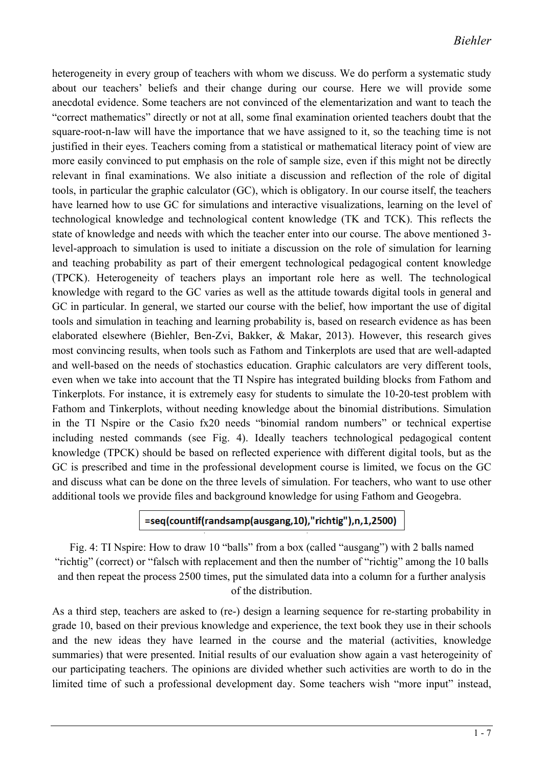heterogeneity in every group of teachers with whom we discuss. We do perform a systematic study about our teachers' beliefs and their change during our course. Here we will provide some anecdotal evidence. Some teachers are not convinced of the elementarization and want to teach the "correct mathematics" directly or not at all, some final examination oriented teachers doubt that the square-root-n-law will have the importance that we have assigned to it, so the teaching time is not justified in their eyes. Teachers coming from a statistical or mathematical literacy point of view are more easily convinced to put emphasis on the role of sample size, even if this might not be directly relevant in final examinations. We also initiate a discussion and reflection of the role of digital tools, in particular the graphic calculator (GC), which is obligatory. In our course itself, the teachers have learned how to use GC for simulations and interactive visualizations, learning on the level of technological knowledge and technological content knowledge (TK and TCK). This reflects the state of knowledge and needs with which the teacher enter into our course. The above mentioned 3 level-approach to simulation is used to initiate a discussion on the role of simulation for learning and teaching probability as part of their emergent technological pedagogical content knowledge (TPCK). Heterogeneity of teachers plays an important role here as well. The technological knowledge with regard to the GC varies as well as the attitude towards digital tools in general and GC in particular. In general, we started our course with the belief, how important the use of digital tools and simulation in teaching and learning probability is, based on research evidence as has been elaborated elsewhere (Biehler, Ben-Zvi, Bakker, & Makar, 2013). However, this research gives most convincing results, when tools such as Fathom and Tinkerplots are used that are well-adapted and well-based on the needs of stochastics education. Graphic calculators are very different tools, even when we take into account that the TI Nspire has integrated building blocks from Fathom and Tinkerplots. For instance, it is extremely easy for students to simulate the 10-20-test problem with Fathom and Tinkerplots, without needing knowledge about the binomial distributions. Simulation in the TI Nspire or the Casio fx20 needs "binomial random numbers" or technical expertise including nested commands (see Fig. 4). Ideally teachers technological pedagogical content knowledge (TPCK) should be based on reflected experience with different digital tools, but as the GC is prescribed and time in the professional development course is limited, we focus on the GC and discuss what can be done on the three levels of simulation. For teachers, who want to use other additional tools we provide files and background knowledge for using Fathom and Geogebra.

## =seq(countif(randsamp(ausgang,10),"richtig"),n,1,2500)

Fig. 4: TI Nspire: How to draw 10 "balls" from a box (called "ausgang") with 2 balls named "richtig" (correct) or "falsch with replacement and then the number of "richtig" among the 10 balls and then repeat the process 2500 times, put the simulated data into a column for a further analysis of the distribution.

As a third step, teachers are asked to (re-) design a learning sequence for re-starting probability in grade 10, based on their previous knowledge and experience, the text book they use in their schools and the new ideas they have learned in the course and the material (activities, knowledge summaries) that were presented. Initial results of our evaluation show again a vast heterogeinity of our participating teachers. The opinions are divided whether such activities are worth to do in the limited time of such a professional development day. Some teachers wish "more input" instead,